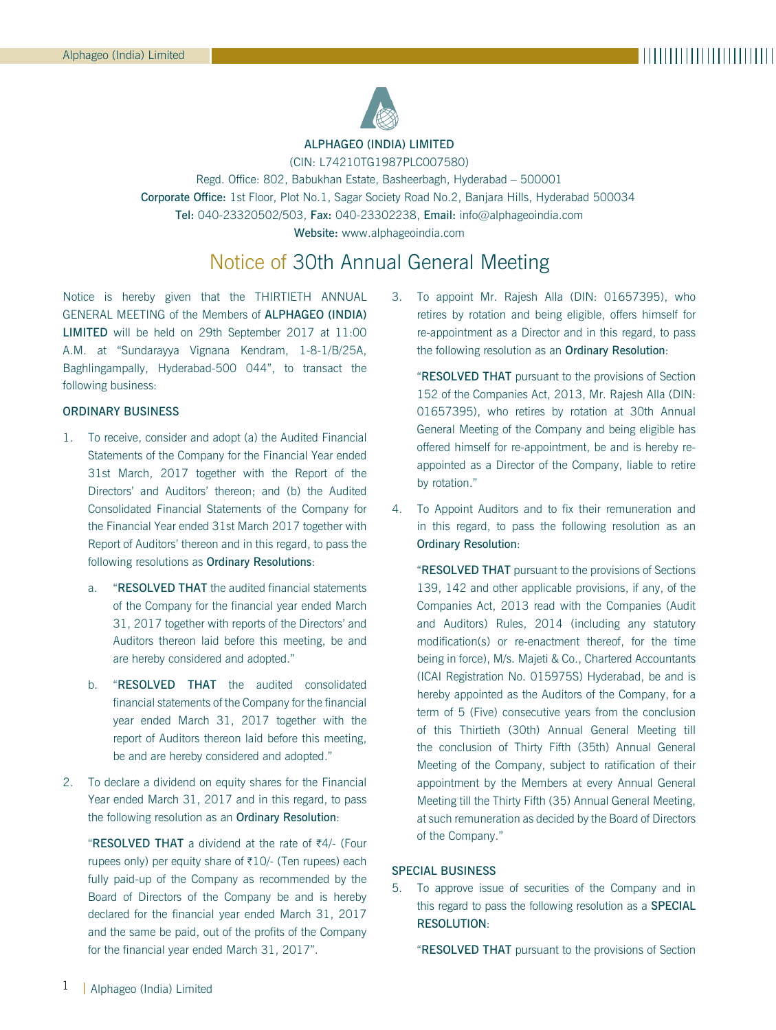

ALPHAGEO (INDIA) LIMITED (CIN: L74210TG1987PLC007580)

Regd. Office: 802, Babukhan Estate, Basheerbagh, Hyderabad – 500001 Corporate Office: 1st Floor, Plot No.1, Sagar Society Road No.2, Banjara Hills, Hyderabad 500034 Tel: 040-23320502/503, Fax: 040-23302238, Email: info@alphageoindia.com Website: www.alphageoindia.com

# Notice of 30th Annual General Meeting

Notice is hereby given that the THIRTIETH ANNUAL GENERAL MEETING of the Members of ALPHAGEO (INDIA) LIMITED will be held on 29th September 2017 at 11:00 A.M. at "Sundarayya Vignana Kendram, 1-8-1/B/25A, Baghlingampally, Hyderabad-500 044", to transact the following business:

#### ORDINARY BUSINESS

- 1. To receive, consider and adopt (a) the Audited Financial Statements of the Company for the Financial Year ended 31st March, 2017 together with the Report of the Directors' and Auditors' thereon; and (b) the Audited Consolidated Financial Statements of the Company for the Financial Year ended 31st March 2017 together with Report of Auditors' thereon and in this regard, to pass the following resolutions as Ordinary Resolutions:
	- a. "RESOLVED THAT the audited financial statements of the Company for the financial year ended March 31, 2017 together with reports of the Directors' and Auditors thereon laid before this meeting, be and are hereby considered and adopted."
	- b. "RESOLVED THAT the audited consolidated financial statements of the Company for the financial year ended March 31, 2017 together with the report of Auditors thereon laid before this meeting, be and are hereby considered and adopted."
- 2. To declare a dividend on equity shares for the Financial Year ended March 31, 2017 and in this regard, to pass the following resolution as an Ordinary Resolution:

"RESOLVED THAT a dividend at the rate of  $\overline{z}4$ /- (Four rupees only) per equity share of  $\overline{\tau}10/$ - (Ten rupees) each fully paid-up of the Company as recommended by the Board of Directors of the Company be and is hereby declared for the financial year ended March 31, 2017 and the same be paid, out of the profits of the Company for the financial year ended March 31, 2017".

3. To appoint Mr. Rajesh Alla (DIN: 01657395), who retires by rotation and being eligible, offers himself for re-appointment as a Director and in this regard, to pass the following resolution as an Ordinary Resolution:

"RESOLVED THAT pursuant to the provisions of Section 152 of the Companies Act, 2013, Mr. Rajesh Alla (DIN: 01657395), who retires by rotation at 30th Annual General Meeting of the Company and being eligible has offered himself for re-appointment, be and is hereby reappointed as a Director of the Company, liable to retire by rotation."

4. To Appoint Auditors and to fix their remuneration and in this regard, to pass the following resolution as an Ordinary Resolution:

"RESOLVED THAT pursuant to the provisions of Sections 139, 142 and other applicable provisions, if any, of the Companies Act, 2013 read with the Companies (Audit and Auditors) Rules, 2014 (including any statutory modification(s) or re-enactment thereof, for the time being in force), M/s. Majeti & Co., Chartered Accountants (ICAI Registration No. 015975S) Hyderabad, be and is hereby appointed as the Auditors of the Company, for a term of 5 (Five) consecutive years from the conclusion of this Thirtieth (30th) Annual General Meeting till the conclusion of Thirty Fifth (35th) Annual General Meeting of the Company, subject to ratification of their appointment by the Members at every Annual General Meeting till the Thirty Fifth (35) Annual General Meeting, at such remuneration as decided by the Board of Directors of the Company."

#### SPECIAL BUSINESS

5. To approve issue of securities of the Company and in this regard to pass the following resolution as a SPECIAL RESOLUTION:

"RESOLVED THAT pursuant to the provisions of Section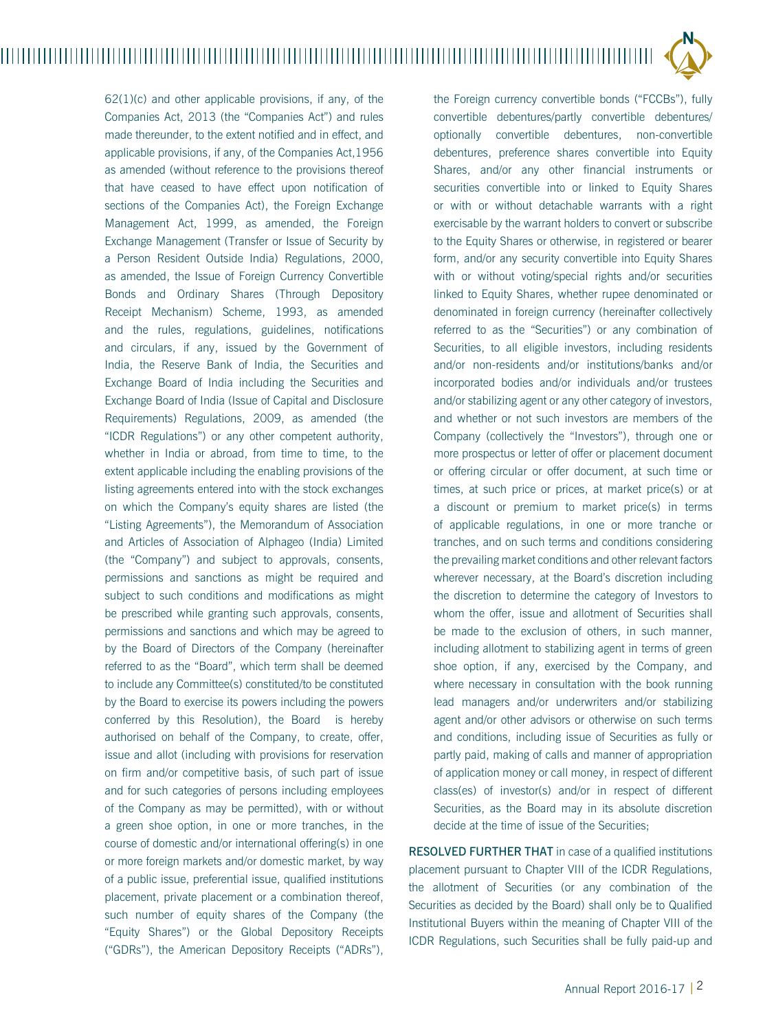$62(1)(c)$  and other applicable provisions, if any, of the Companies Act, 2013 (the "Companies Act") and rules made thereunder, to the extent notified and in effect, and applicable provisions, if any, of the Companies Act, 1956 as amended (without reference to the provisions thereof that have ceased to have effect upon notification of sections of the Companies Act), the Foreign Exchange Management Act, 1999, as amended, the Foreign Exchange Management (Transfer or Issue of Security by a Person Resident Outside India) Regulations, 2000, as amended, the Issue of Foreign Currency Convertible Bonds and Ordinary Shares (Through Depository Receipt Mechanism) Scheme, 1993, as amended and the rules, regulations, guidelines, notifications and circulars, if any, issued by the Government of India, the Reserve Bank of India, the Securities and Exchange Board of India including the Securities and Exchange Board of India (Issue of Capital and Disclosure Requirements) Regulations, 2009, as amended (the "ICDR Regulations") or any other competent authority, whether in India or abroad, from time to time, to the extent applicable including the enabling provisions of the listing agreements entered into with the stock exchanges on which the Company's equity shares are listed (the "Listing Agreements"), the Memorandum of Association and Articles of Association of Alphageo (India) Limited (the "Company") and subject to approvals, consents, permissions and sanctions as might be required and subject to such conditions and modifications as might be prescribed while granting such approvals, consents, permissions and sanctions and which may be agreed to by the Board of Directors of the Company (hereinafter referred to as the "Board", which term shall be deemed to include any Committee(s) constituted/to be constituted by the Board to exercise its powers including the powers conferred by this Resolution), the Board is hereby authorised on behalf of the Company, to create, offer, issue and allot (including with provisions for reservation on firm and/or competitive basis, of such part of issue and for such categories of persons including employees of the Company as may be permitted), with or without a green shoe option, in one or more tranches, in the course of domestic and/or international offering(s) in one or more foreign markets and/or domestic market, by way of a public issue, preferential issue, qualified institutions placement, private placement or a combination thereof, such number of equity shares of the Company (the "Equity Shares") or the Global Depository Receipts ("GDRs"), the American Depository Receipts ("ADRs"), the Foreign currency convertible bonds ("FCCBs"), fully convertible debentures/partly convertible debentures/ optionally convertible debentures, non-convertible debentures, preference shares convertible into Equity Shares, and/or any other financial instruments or securities convertible into or linked to Equity Shares or with or without detachable warrants with a right exercisable by the warrant holders to convert or subscribe to the Equity Shares or otherwise, in registered or bearer form, and/or any security convertible into Equity Shares with or without voting/special rights and/or securities linked to Equity Shares, whether rupee denominated or denominated in foreign currency (hereinafter collectively referred to as the "Securities") or any combination of Securities, to all eligible investors, including residents and/or non-residents and/or institutions/banks and/or incorporated bodies and/or individuals and/or trustees and/or stabilizing agent or any other category of investors, and whether or not such investors are members of the Company (collectively the "Investors"), through one or more prospectus or letter of offer or placement document or offering circular or offer document, at such time or times, at such price or prices, at market price(s) or at a discount or premium to market price(s) in terms of applicable regulations, in one or more tranche or tranches, and on such terms and conditions considering the prevailing market conditions and other relevant factors wherever necessary, at the Board's discretion including the discretion to determine the category of Investors to whom the offer, issue and allotment of Securities shall be made to the exclusion of others, in such manner, including allotment to stabilizing agent in terms of green shoe option, if any, exercised by the Company, and where necessary in consultation with the book running lead managers and/or underwriters and/or stabilizing agent and/or other advisors or otherwise on such terms and conditions, including issue of Securities as fully or partly paid, making of calls and manner of appropriation of application money or call money, in respect of different class(es) of investor(s) and/or in respect of different Securities, as the Board may in its absolute discretion decide at the time of issue of the Securities;

RESOLVED FURTHER THAT in case of a qualified institutions placement pursuant to Chapter VIII of the ICDR Regulations, the allotment of Securities (or any combination of the Securities as decided by the Board) shall only be to Qualified Institutional Buyers within the meaning of Chapter VIII of the ICDR Regulations, such Securities shall be fully paid-up and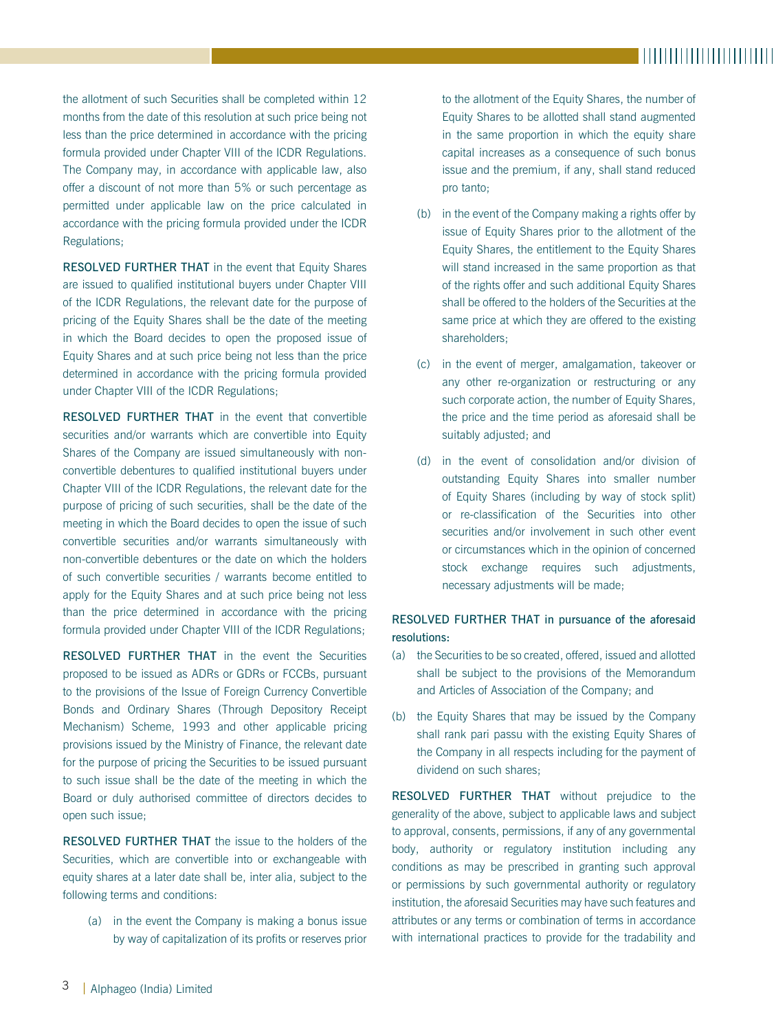the allotment of such Securities shall be completed within 12 months from the date of this resolution at such price being not less than the price determined in accordance with the pricing formula provided under Chapter VIII of the ICDR Regulations. The Company may, in accordance with applicable law, also offer a discount of not more than 5% or such percentage as permitted under applicable law on the price calculated in accordance with the pricing formula provided under the ICDR Regulations;

RESOLVED FURTHER THAT in the event that Equity Shares are issued to qualified institutional buyers under Chapter VIII of the ICDR Regulations, the relevant date for the purpose of pricing of the Equity Shares shall be the date of the meeting in which the Board decides to open the proposed issue of Equity Shares and at such price being not less than the price determined in accordance with the pricing formula provided under Chapter VIII of the ICDR Regulations;

RESOLVED FURTHER THAT in the event that convertible securities and/or warrants which are convertible into Equity Shares of the Company are issued simultaneously with nonconvertible debentures to qualified institutional buyers under Chapter VIII of the ICDR Regulations, the relevant date for the purpose of pricing of such securities, shall be the date of the meeting in which the Board decides to open the issue of such convertible securities and/or warrants simultaneously with non-convertible debentures or the date on which the holders of such convertible securities / warrants become entitled to apply for the Equity Shares and at such price being not less than the price determined in accordance with the pricing formula provided under Chapter VIII of the ICDR Regulations;

RESOLVED FURTHER THAT in the event the Securities proposed to be issued as ADRs or GDRs or FCCBs, pursuant to the provisions of the Issue of Foreign Currency Convertible Bonds and Ordinary Shares (Through Depository Receipt Mechanism) Scheme, 1993 and other applicable pricing provisions issued by the Ministry of Finance, the relevant date for the purpose of pricing the Securities to be issued pursuant to such issue shall be the date of the meeting in which the Board or duly authorised committee of directors decides to open such issue;

RESOLVED FURTHER THAT the issue to the holders of the Securities, which are convertible into or exchangeable with equity shares at a later date shall be, inter alia, subject to the following terms and conditions:

(a) in the event the Company is making a bonus issue by way of capitalization of its profits or reserves prior to the allotment of the Equity Shares, the number of Equity Shares to be allotted shall stand augmented in the same proportion in which the equity share capital increases as a consequence of such bonus issue and the premium, if any, shall stand reduced pro tanto;

- (b) in the event of the Company making a rights offer by issue of Equity Shares prior to the allotment of the Equity Shares, the entitlement to the Equity Shares will stand increased in the same proportion as that of the rights offer and such additional Equity Shares shall be offered to the holders of the Securities at the same price at which they are offered to the existing shareholders;
- (c) in the event of merger, amalgamation, takeover or any other re-organization or restructuring or any such corporate action, the number of Equity Shares, the price and the time period as aforesaid shall be suitably adjusted; and
- (d) in the event of consolidation and/or division of outstanding Equity Shares into smaller number of Equity Shares (including by way of stock split) or re-classification of the Securities into other securities and/or involvement in such other event or circumstances which in the opinion of concerned stock exchange requires such adjustments, necessary adjustments will be made;

## RESOLVED FURTHER THAT in pursuance of the aforesaid resolutions:

- (a) the Securities to be so created, offered, issued and allotted shall be subject to the provisions of the Memorandum and Articles of Association of the Company; and
- (b) the Equity Shares that may be issued by the Company shall rank pari passu with the existing Equity Shares of the Company in all respects including for the payment of dividend on such shares;

RESOLVED FURTHER THAT without prejudice to the generality of the above, subject to applicable laws and subject to approval, consents, permissions, if any of any governmental body, authority or regulatory institution including any conditions as may be prescribed in granting such approval or permissions by such governmental authority or regulatory institution, the aforesaid Securities may have such features and attributes or any terms or combination of terms in accordance with international practices to provide for the tradability and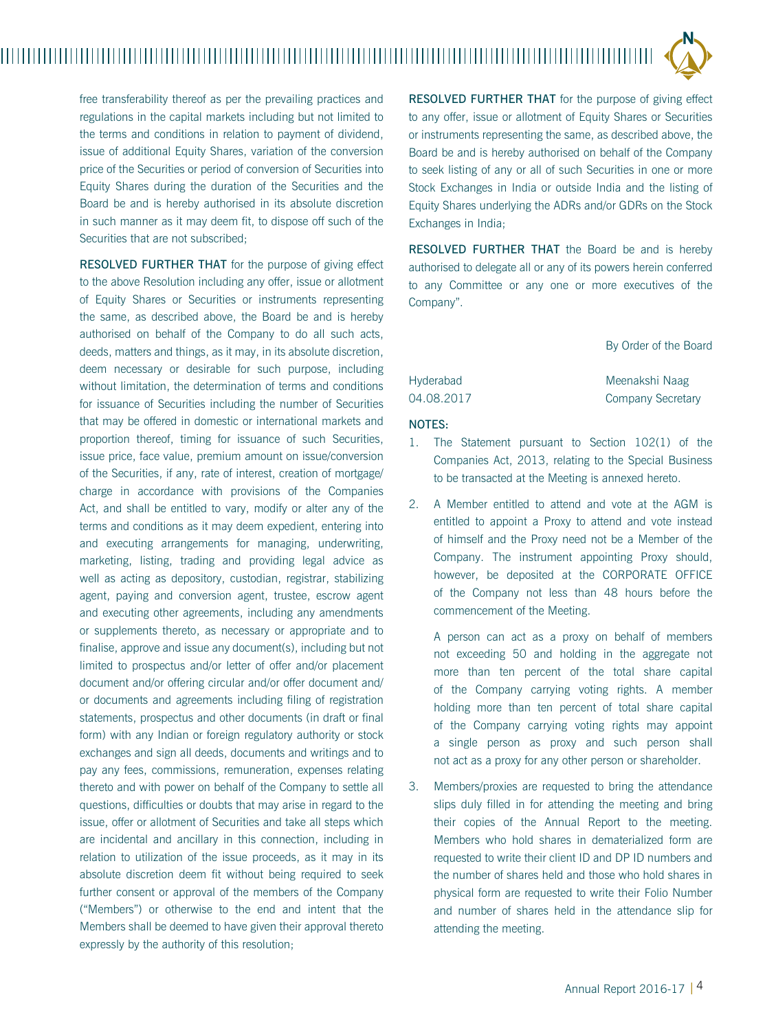

free transferability thereof as per the prevailing practices and regulations in the capital markets including but not limited to the terms and conditions in relation to payment of dividend, issue of additional Equity Shares, variation of the conversion price of the Securities or period of conversion of Securities into Equity Shares during the duration of the Securities and the Board be and is hereby authorised in its absolute discretion in such manner as it may deem fit, to dispose off such of the Securities that are not subscribed.

RESOLVED FURTHER THAT for the purpose of giving effect to the above Resolution including any offer, issue or allotment of Equity Shares or Securities or instruments representing the same, as described above, the Board be and is hereby authorised on behalf of the Company to do all such acts, deeds, matters and things, as it may, in its absolute discretion, deem necessary or desirable for such purpose, including without limitation, the determination of terms and conditions for issuance of Securities including the number of Securities that may be offered in domestic or international markets and proportion thereof, timing for issuance of such Securities, issue price, face value, premium amount on issue/conversion of the Securities, if any, rate of interest, creation of mortgage/ charge in accordance with provisions of the Companies Act, and shall be entitled to vary, modify or alter any of the terms and conditions as it may deem expedient, entering into and executing arrangements for managing, underwriting, marketing, listing, trading and providing legal advice as well as acting as depository, custodian, registrar, stabilizing agent, paying and conversion agent, trustee, escrow agent and executing other agreements, including any amendments or supplements thereto, as necessary or appropriate and to finalise, approve and issue any document(s), including but not limited to prospectus and/or letter of offer and/or placement document and/or offering circular and/or offer document and/ or documents and agreements including filing of registration statements, prospectus and other documents (in draft or final form) with any Indian or foreign regulatory authority or stock exchanges and sign all deeds, documents and writings and to pay any fees, commissions, remuneration, expenses relating thereto and with power on behalf of the Company to settle all questions, difficulties or doubts that may arise in regard to the issue, offer or allotment of Securities and take all steps which are incidental and ancillary in this connection, including in relation to utilization of the issue proceeds, as it may in its absolute discretion deem fit without being required to seek further consent or approval of the members of the Company ("Members") or otherwise to the end and intent that the Members shall be deemed to have given their approval thereto expressly by the authority of this resolution;

RESOLVED FURTHER THAT for the purpose of giving effect to any offer, issue or allotment of Equity Shares or Securities or instruments representing the same, as described above, the Board be and is hereby authorised on behalf of the Company to seek listing of any or all of such Securities in one or more Stock Exchanges in India or outside India and the listing of Equity Shares underlying the ADRs and/or GDRs on the Stock Exchanges in India;

RESOLVED FURTHER THAT the Board be and is hereby authorised to delegate all or any of its powers herein conferred to any Committee or any one or more executives of the Company".

By Order of the Board

| Hyderabad  | Meenakshi Naag    |  |
|------------|-------------------|--|
| 04.08.2017 | Company Secretary |  |

#### NOTES:

- 1. The Statement pursuant to Section 102(1) of the Companies Act, 2013, relating to the Special Business to be transacted at the Meeting is annexed hereto.
- 2. A Member entitled to attend and vote at the AGM is entitled to appoint a Proxy to attend and vote instead of himself and the Proxy need not be a Member of the Company. The instrument appointing Proxy should, however, be deposited at the CORPORATE OFFICE of the Company not less than 48 hours before the commencement of the Meeting.

A person can act as a proxy on behalf of members not exceeding 50 and holding in the aggregate not more than ten percent of the total share capital of the Company carrying voting rights. A member holding more than ten percent of total share capital of the Company carrying voting rights may appoint a single person as proxy and such person shall not act as a proxy for any other person or shareholder.

3. Members/proxies are requested to bring the attendance slips duly filled in for attending the meeting and bring their copies of the Annual Report to the meeting. Members who hold shares in dematerialized form are requested to write their client ID and DP ID numbers and the number of shares held and those who hold shares in physical form are requested to write their Folio Number and number of shares held in the attendance slip for attending the meeting.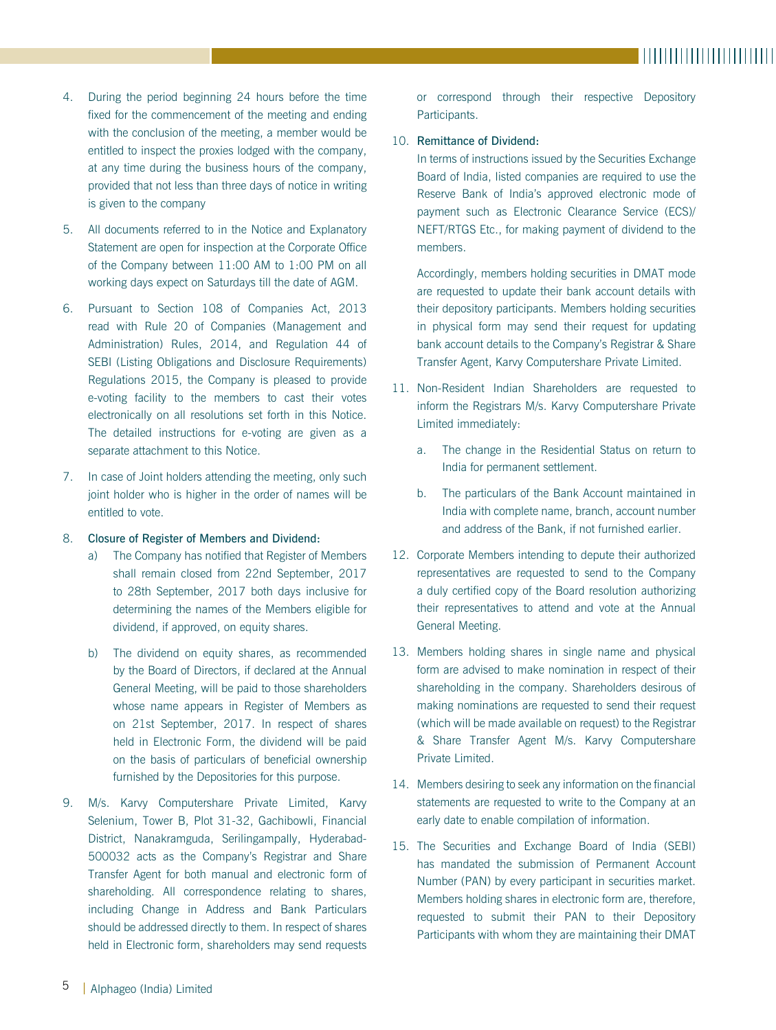- 4. During the period beginning 24 hours before the time fixed for the commencement of the meeting and ending with the conclusion of the meeting, a member would be entitled to inspect the proxies lodged with the company, at any time during the business hours of the company, provided that not less than three days of notice in writing is given to the company
- 5. All documents referred to in the Notice and Explanatory Statement are open for inspection at the Corporate Office of the Company between 11:00 AM to 1:00 PM on all working days expect on Saturdays till the date of AGM.
- 6. Pursuant to Section 108 of Companies Act, 2013 read with Rule 20 of Companies (Management and Administration) Rules, 2014, and Regulation 44 of SEBI (Listing Obligations and Disclosure Requirements) Regulations 2015, the Company is pleased to provide e-voting facility to the members to cast their votes electronically on all resolutions set forth in this Notice. The detailed instructions for e-voting are given as a separate attachment to this Notice.
- 7. In case of Joint holders attending the meeting, only such joint holder who is higher in the order of names will be entitled to vote.

#### 8. Closure of Register of Members and Dividend:

- a) The Company has notified that Register of Members shall remain closed from 22nd September, 2017 to 28th September, 2017 both days inclusive for determining the names of the Members eligible for dividend, if approved, on equity shares.
- b) The dividend on equity shares, as recommended by the Board of Directors, if declared at the Annual General Meeting, will be paid to those shareholders whose name appears in Register of Members as on 21st September, 2017. In respect of shares held in Electronic Form, the dividend will be paid on the basis of particulars of beneficial ownership furnished by the Depositories for this purpose.
- 9. M/s. Karvy Computershare Private Limited, Karvy Selenium, Tower B, Plot 31-32, Gachibowli, Financial District, Nanakramguda, Serilingampally, Hyderabad-500032 acts as the Company's Registrar and Share Transfer Agent for both manual and electronic form of shareholding. All correspondence relating to shares, including Change in Address and Bank Particulars should be addressed directly to them. In respect of shares held in Electronic form, shareholders may send requests

or correspond through their respective Depository Participants.

## 10. Remittance of Dividend:

In terms of instructions issued by the Securities Exchange Board of India, listed companies are required to use the Reserve Bank of India's approved electronic mode of payment such as Electronic Clearance Service (ECS)/ NEFT/RTGS Etc., for making payment of dividend to the members.

Accordingly, members holding securities in DMAT mode are requested to update their bank account details with their depository participants. Members holding securities in physical form may send their request for updating bank account details to the Company's Registrar & Share Transfer Agent, Karvy Computershare Private Limited.

- 11. Non-Resident Indian Shareholders are requested to inform the Registrars M/s. Karvy Computershare Private Limited immediately:
	- a. The change in the Residential Status on return to India for permanent settlement.
	- b. The particulars of the Bank Account maintained in India with complete name, branch, account number and address of the Bank, if not furnished earlier.
- 12. Corporate Members intending to depute their authorized representatives are requested to send to the Company a duly certified copy of the Board resolution authorizing their representatives to attend and vote at the Annual General Meeting.
- 13. Members holding shares in single name and physical form are advised to make nomination in respect of their shareholding in the company. Shareholders desirous of making nominations are requested to send their request (which will be made available on request) to the Registrar & Share Transfer Agent M/s. Karvy Computershare Private Limited.
- 14. Members desiring to seek any information on the financial statements are requested to write to the Company at an early date to enable compilation of information.
- 15. The Securities and Exchange Board of India (SEBI) has mandated the submission of Permanent Account Number (PAN) by every participant in securities market. Members holding shares in electronic form are, therefore, requested to submit their PAN to their Depository Participants with whom they are maintaining their DMAT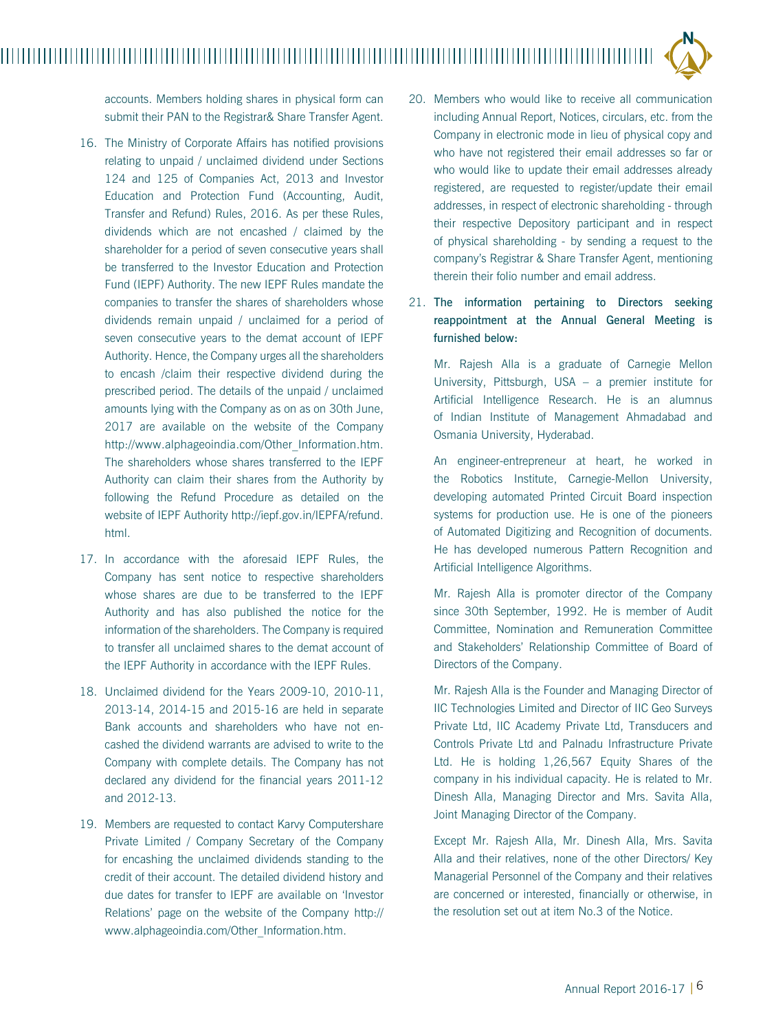accounts. Members holding shares in physical form can submit their PAN to the Registrar& Share Transfer Agent.

- 16. The Ministry of Corporate Affairs has notified provisions relating to unpaid / unclaimed dividend under Sections 124 and 125 of Companies Act, 2013 and Investor Education and Protection Fund (Accounting, Audit, Transfer and Refund) Rules, 2016. As per these Rules, dividends which are not encashed / claimed by the shareholder for a period of seven consecutive years shall be transferred to the Investor Education and Protection Fund (IEPF) Authority. The new IEPF Rules mandate the companies to transfer the shares of shareholders whose dividends remain unpaid / unclaimed for a period of seven consecutive years to the demat account of IEPF Authority. Hence, the Company urges all the shareholders to encash /claim their respective dividend during the prescribed period. The details of the unpaid / unclaimed amounts lying with the Company as on as on 30th June, 2017 are available on the website of the Company http://www.alphageoindia.com/Other\_Information.htm. The shareholders whose shares transferred to the IEPF Authority can claim their shares from the Authority by following the Refund Procedure as detailed on the website of IEPF Authority http://iepf.gov.in/IEPFA/refund. html.
- 17. In accordance with the aforesaid IEPF Rules, the Company has sent notice to respective shareholders whose shares are due to be transferred to the IEPF Authority and has also published the notice for the information of the shareholders. The Company is required to transfer all unclaimed shares to the demat account of the IEPF Authority in accordance with the IEPF Rules.
- 18. Unclaimed dividend for the Years 2009-10, 2010-11, 2013-14, 2014-15 and 2015-16 are held in separate Bank accounts and shareholders who have not encashed the dividend warrants are advised to write to the Company with complete details. The Company has not declared any dividend for the financial years 2011-12 and 2012-13.
- 19. Members are requested to contact Karvy Computershare Private Limited / Company Secretary of the Company for encashing the unclaimed dividends standing to the credit of their account. The detailed dividend history and due dates for transfer to IEPF are available on 'Investor Relations' page on the website of the Company http:// www.alphageoindia.com/Other\_Information.htm.
- 20. Members who would like to receive all communication including Annual Report, Notices, circulars, etc. from the Company in electronic mode in lieu of physical copy and who have not registered their email addresses so far or who would like to update their email addresses already registered, are requested to register/update their email addresses, in respect of electronic shareholding - through their respective Depository participant and in respect of physical shareholding - by sending a request to the company's Registrar & Share Transfer Agent, mentioning therein their folio number and email address.
- 21. The information pertaining to Directors seeking reappointment at the Annual General Meeting is furnished below:

Mr. Rajesh Alla is a graduate of Carnegie Mellon University, Pittsburgh, USA – a premier institute for Artificial Intelligence Research. He is an alumnus of Indian Institute of Management Ahmadabad and Osmania University, Hyderabad.

An engineer-entrepreneur at heart, he worked in the Robotics Institute, Carnegie-Mellon University, developing automated Printed Circuit Board inspection systems for production use. He is one of the pioneers of Automated Digitizing and Recognition of documents. He has developed numerous Pattern Recognition and Artificial Intelligence Algorithms.

Mr. Rajesh Alla is promoter director of the Company since 30th September, 1992. He is member of Audit Committee, Nomination and Remuneration Committee and Stakeholders' Relationship Committee of Board of Directors of the Company.

Mr. Rajesh Alla is the Founder and Managing Director of IIC Technologies Limited and Director of IIC Geo Surveys Private Ltd, IIC Academy Private Ltd, Transducers and Controls Private Ltd and Palnadu Infrastructure Private Ltd. He is holding 1,26,567 Equity Shares of the company in his individual capacity. He is related to Mr. Dinesh Alla, Managing Director and Mrs. Savita Alla, Joint Managing Director of the Company.

Except Mr. Rajesh Alla, Mr. Dinesh Alla, Mrs. Savita Alla and their relatives, none of the other Directors/ Key Managerial Personnel of the Company and their relatives are concerned or interested, financially or otherwise, in the resolution set out at item No.3 of the Notice.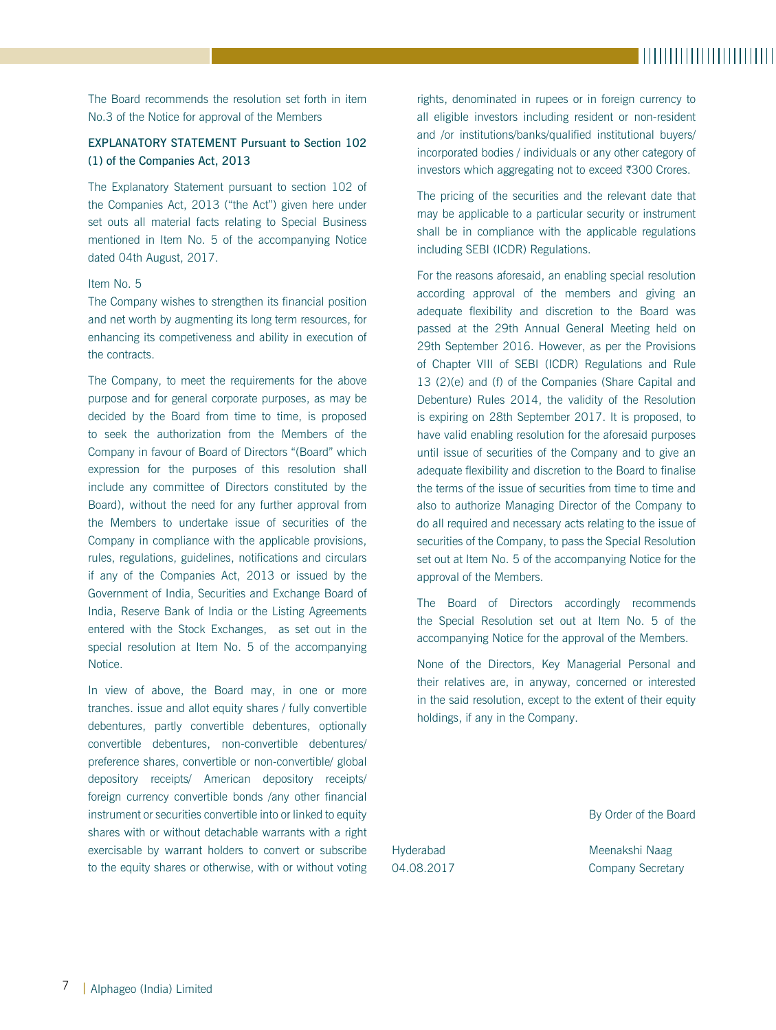The Board recommends the resolution set forth in item No.3 of the Notice for approval of the Members

## EXPLANATORY STATEMENT Pursuant to Section 102 (1) of the Companies Act, 2013

The Explanatory Statement pursuant to section 102 of the Companies Act, 2013 ("the Act") given here under set outs all material facts relating to Special Business mentioned in Item No. 5 of the accompanying Notice dated 04th August, 2017.

### Item No. 5

The Company wishes to strengthen its financial position and net worth by augmenting its long term resources, for enhancing its competiveness and ability in execution of the contracts.

The Company, to meet the requirements for the above purpose and for general corporate purposes, as may be decided by the Board from time to time, is proposed to seek the authorization from the Members of the Company in favour of Board of Directors "(Board" which expression for the purposes of this resolution shall include any committee of Directors constituted by the Board), without the need for any further approval from the Members to undertake issue of securities of the Company in compliance with the applicable provisions, rules, regulations, guidelines, notifications and circulars if any of the Companies Act, 2013 or issued by the Government of India, Securities and Exchange Board of India, Reserve Bank of India or the Listing Agreements entered with the Stock Exchanges, as set out in the special resolution at Item No. 5 of the accompanying Notice.

In view of above, the Board may, in one or more tranches. issue and allot equity shares / fully convertible debentures, partly convertible debentures, optionally convertible debentures, non-convertible debentures/ preference shares, convertible or non-convertible/ global depository receipts/ American depository receipts/ foreign currency convertible bonds /any other financial instrument or securities convertible into or linked to equity shares with or without detachable warrants with a right exercisable by warrant holders to convert or subscribe to the equity shares or otherwise, with or without voting rights, denominated in rupees or in foreign currency to all eligible investors including resident or non-resident and /or institutions/banks/qualified institutional buyers/ incorporated bodies / individuals or any other category of investors which aggregating not to exceed  $\overline{\epsilon}300$  Crores.

The pricing of the securities and the relevant date that may be applicable to a particular security or instrument shall be in compliance with the applicable regulations including SEBI (ICDR) Regulations.

For the reasons aforesaid, an enabling special resolution according approval of the members and giving an adequate flexibility and discretion to the Board was passed at the 29th Annual General Meeting held on 29th September 2016. However, as per the Provisions of Chapter VIII of SEBI (ICDR) Regulations and Rule 13 (2)(e) and (f) of the Companies (Share Capital and Debenture) Rules 2014, the validity of the Resolution is expiring on 28th September 2017. It is proposed, to have valid enabling resolution for the aforesaid purposes until issue of securities of the Company and to give an adequate flexibility and discretion to the Board to finalise the terms of the issue of securities from time to time and also to authorize Managing Director of the Company to do all required and necessary acts relating to the issue of securities of the Company, to pass the Special Resolution set out at Item No. 5 of the accompanying Notice for the approval of the Members.

The Board of Directors accordingly recommends the Special Resolution set out at Item No. 5 of the accompanying Notice for the approval of the Members.

None of the Directors, Key Managerial Personal and their relatives are, in anyway, concerned or interested in the said resolution, except to the extent of their equity holdings, if any in the Company.

By Order of the Board

Hyderabad Meenakshi Naag 04.08.2017 Company Secretary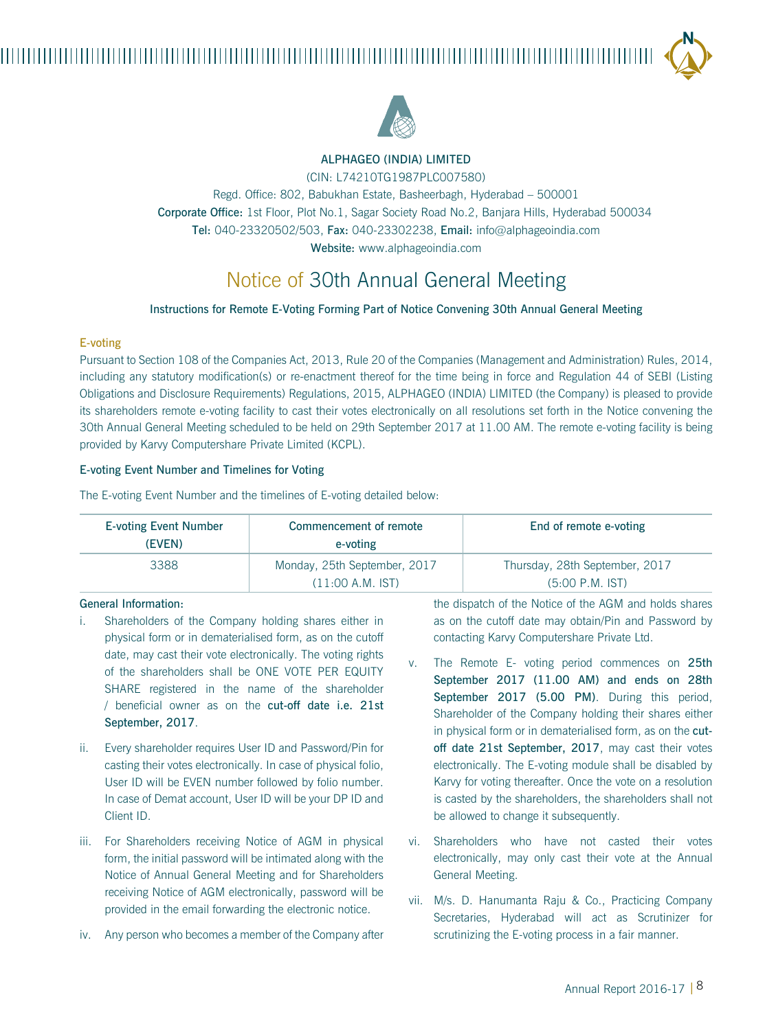

## ALPHAGEO (INDIA) LIMITED

(CIN: L74210TG1987PLC007580)

Regd. Office: 802, Babukhan Estate, Basheerbagh, Hyderabad – 500001 Corporate Office: 1st Floor, Plot No.1, Sagar Society Road No.2, Banjara Hills, Hyderabad 500034 Tel: 040-23320502/503, Fax: 040-23302238, Email: info@alphageoindia.com Website: www.alphageoindia.com

# Notice of 30th Annual General Meeting

#### Instructions for Remote E-Voting Forming Part of Notice Convening 30th Annual General Meeting

#### E-voting

Pursuant to Section 108 of the Companies Act, 2013, Rule 20 of the Companies (Management and Administration) Rules, 2014, including any statutory modification(s) or re-enactment thereof for the time being in force and Regulation 44 of SEBI (Listing Obligations and Disclosure Requirements) Regulations, 2015, ALPHAGEO (INDIA) LIMITED (the Company) is pleased to provide its shareholders remote e-voting facility to cast their votes electronically on all resolutions set forth in the Notice convening the 30th Annual General Meeting scheduled to be held on 29th September 2017 at 11.00 AM. The remote e-voting facility is being provided by Karvy Computershare Private Limited (KCPL).

#### E-voting Event Number and Timelines for Voting

| <b>E-voting Event Number</b><br>(EVEN) | Commencement of remote<br>e-voting | End of remote e-voting         |  |  |
|----------------------------------------|------------------------------------|--------------------------------|--|--|
| 3388                                   | Monday, 25th September, 2017       | Thursday, 28th September, 2017 |  |  |
|                                        | $(11:00 A.M.$ IST)                 | $(5:00 P.M.$ IST)              |  |  |

The E-voting Event Number and the timelines of E-voting detailed below:

#### General Information:

- i. Shareholders of the Company holding shares either in physical form or in dematerialised form, as on the cutoff date, may cast their vote electronically. The voting rights of the shareholders shall be ONE VOTE PER EQUITY SHARE registered in the name of the shareholder / beneficial owner as on the cut-off date i.e. 21st September, 2017.
- ii. Every shareholder requires User ID and Password/Pin for casting their votes electronically. In case of physical folio, User ID will be EVEN number followed by folio number. In case of Demat account, User ID will be your DP ID and Client ID.
- iii. For Shareholders receiving Notice of AGM in physical form, the initial password will be intimated along with the Notice of Annual General Meeting and for Shareholders receiving Notice of AGM electronically, password will be provided in the email forwarding the electronic notice.
- iv. Any person who becomes a member of the Company after

the dispatch of the Notice of the AGM and holds shares as on the cutoff date may obtain/Pin and Password by contacting Karvy Computershare Private Ltd.

- v. The Remote E- voting period commences on 25th September 2017 (11.00 AM) and ends on 28th September 2017 (5.00 PM). During this period. Shareholder of the Company holding their shares either in physical form or in dematerialised form, as on the cutoff date 21st September, 2017, may cast their votes electronically. The E-voting module shall be disabled by Karvy for voting thereafter. Once the vote on a resolution is casted by the shareholders, the shareholders shall not be allowed to change it subsequently.
- vi. Shareholders who have not casted their votes electronically, may only cast their vote at the Annual General Meeting.
- vii. M/s. D. Hanumanta Raju & Co., Practicing Company Secretaries, Hyderabad will act as Scrutinizer for scrutinizing the E-voting process in a fair manner.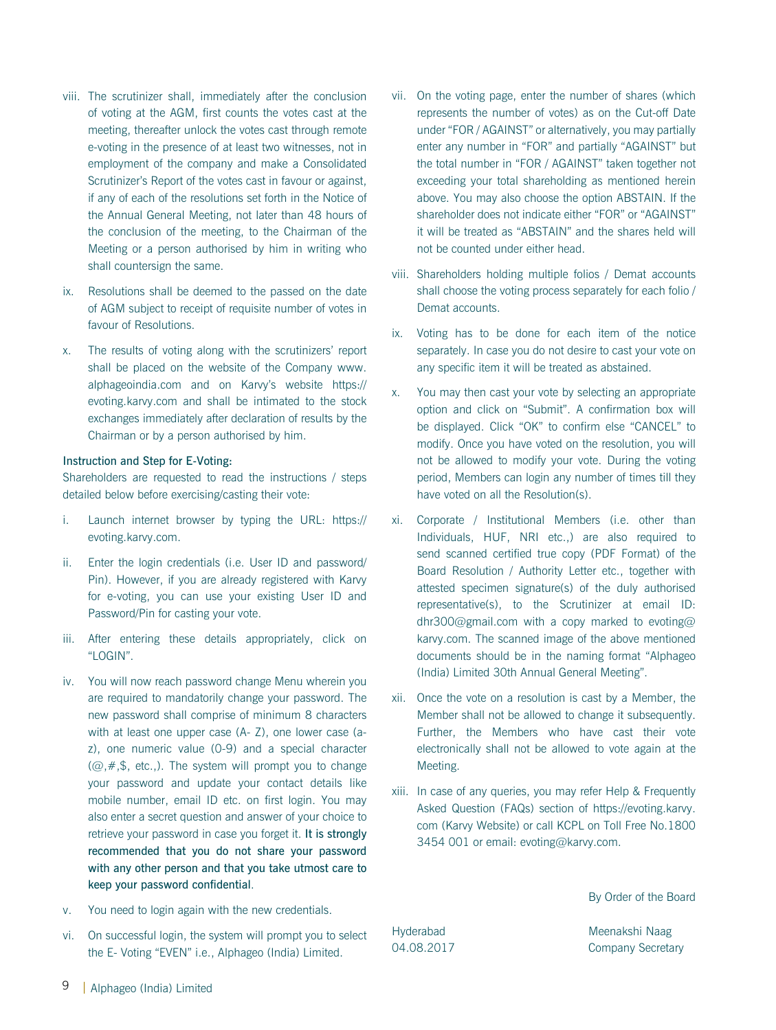- viii. The scrutinizer shall, immediately after the conclusion of voting at the AGM, first counts the votes cast at the meeting, thereafter unlock the votes cast through remote e-voting in the presence of at least two witnesses, not in employment of the company and make a Consolidated Scrutinizer's Report of the votes cast in favour or against, if any of each of the resolutions set forth in the Notice of the Annual General Meeting, not later than 48 hours of the conclusion of the meeting, to the Chairman of the Meeting or a person authorised by him in writing who shall countersign the same.
- ix. Resolutions shall be deemed to the passed on the date of AGM subject to receipt of requisite number of votes in favour of Resolutions.
- x. The results of voting along with the scrutinizers' report shall be placed on the website of the Company www. alphageoindia.com and on Karvy's website https:// evoting.karvy.com and shall be intimated to the stock exchanges immediately after declaration of results by the Chairman or by a person authorised by him.

#### Instruction and Step for E-Voting:

Shareholders are requested to read the instructions / steps detailed below before exercising/casting their vote:

- i. Launch internet browser by typing the URL: https:// evoting.karvy.com.
- ii. Enter the login credentials (i.e. User ID and password/ Pin). However, if you are already registered with Karvy for e-voting, you can use your existing User ID and Password/Pin for casting your vote.
- iii. After entering these details appropriately, click on "LOGIN".
- iv. You will now reach password change Menu wherein you are required to mandatorily change your password. The new password shall comprise of minimum 8 characters with at least one upper case (A- Z), one lower case (az), one numeric value (0-9) and a special character  $(Q, \#, \$$ , etc.,). The system will prompt you to change your password and update your contact details like mobile number, email ID etc. on first login. You may also enter a secret question and answer of your choice to retrieve your password in case you forget it. It is strongly recommended that you do not share your password with any other person and that you take utmost care to keep your password confidential.
- v. You need to login again with the new credentials.
- vi. On successful login, the system will prompt you to select the E- Voting "EVEN" i.e., Alphageo (India) Limited.
- vii. On the voting page, enter the number of shares (which represents the number of votes) as on the Cut-off Date under "FOR / AGAINST" or alternatively, you may partially enter any number in "FOR" and partially "AGAINST" but the total number in "FOR / AGAINST" taken together not exceeding your total shareholding as mentioned herein above. You may also choose the option ABSTAIN. If the shareholder does not indicate either "FOR" or "AGAINST" it will be treated as "ABSTAIN" and the shares held will not be counted under either head.
- viii. Shareholders holding multiple folios / Demat accounts shall choose the voting process separately for each folio / Demat accounts.
- ix. Voting has to be done for each item of the notice separately. In case you do not desire to cast your vote on any specific item it will be treated as abstained.
- x. You may then cast your vote by selecting an appropriate option and click on "Submit". A confirmation box will be displayed. Click "OK" to confirm else "CANCEL" to modify. Once you have voted on the resolution, you will not be allowed to modify your vote. During the voting period, Members can login any number of times till they have voted on all the Resolution(s).
- xi. Corporate / Institutional Members (i.e. other than Individuals, HUF, NRI etc.,) are also required to send scanned certified true copy (PDF Format) of the Board Resolution / Authority Letter etc., together with attested specimen signature(s) of the duly authorised representative(s), to the Scrutinizer at email ID: dhr300@gmail.com with a copy marked to evoting@ karvy.com. The scanned image of the above mentioned documents should be in the naming format "Alphageo (India) Limited 30th Annual General Meeting".
- xii. Once the vote on a resolution is cast by a Member, the Member shall not be allowed to change it subsequently. Further, the Members who have cast their vote electronically shall not be allowed to vote again at the Meeting.
- xiii. In case of any queries, you may refer Help & Frequently Asked Question (FAQs) section of https://evoting.karvy. com (Karvy Website) or call KCPL on Toll Free No.1800 3454 001 or email: evoting@karvy.com.

By Order of the Board

Hyderabad Meenakshi Naag 04.08.2017 Company Secretary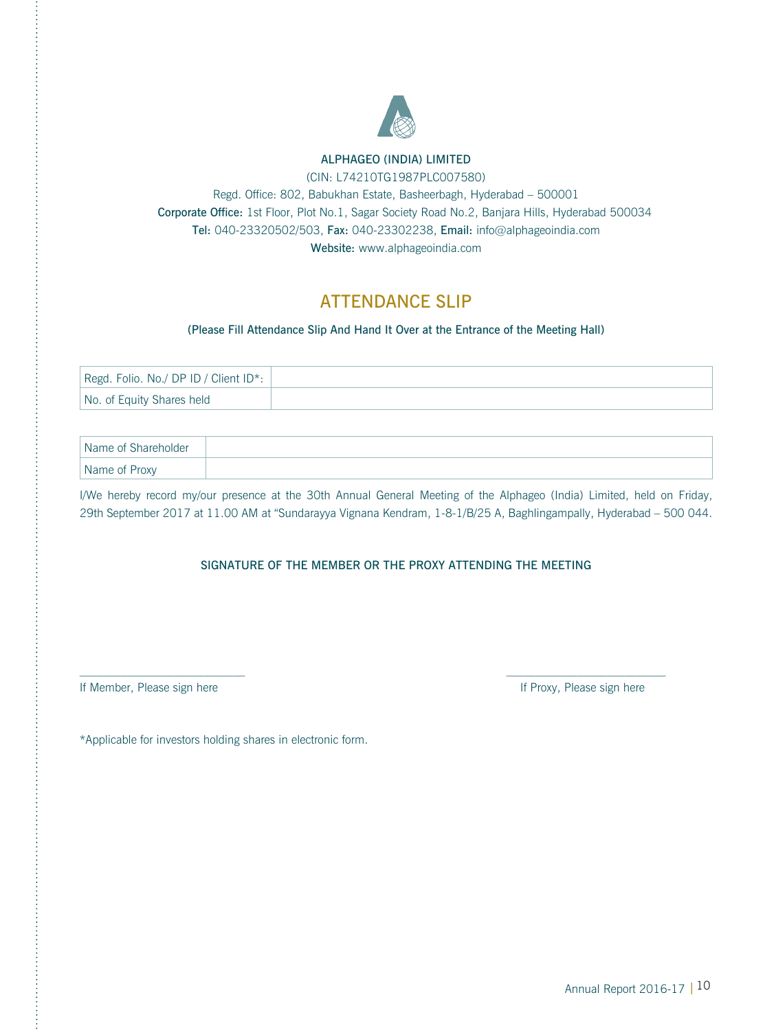

## ALPHAGEO (INDIA) LIMITED

(CIN: L74210TG1987PLC007580)

Regd. Office: 802, Babukhan Estate, Basheerbagh, Hyderabad – 500001 Corporate Office: 1st Floor, Plot No.1, Sagar Society Road No.2, Banjara Hills, Hyderabad 500034 Tel: 040-23320502/503, Fax: 040-23302238, Email: info@alphageoindia.com Website: www.alphageoindia.com

## **ATTENDANCE SLIP**

(Please Fill Attendance Slip And Hand It Over at the Entrance of the Meeting Hall)

| Regd. Folio. No./DP ID / Client ID*: |  |
|--------------------------------------|--|
| No. of Equity Shares held            |  |

| Name of Shareholder |  |
|---------------------|--|
| Name of Proxy       |  |

I/We hereby record my/our presence at the 30th Annual General Meeting of the Alphageo (India) Limited, held on Friday, 29th September 2017 at 11.00 AM at "Sundarayya Vignana Kendram, 1-8-1/B/25 A, Baghlingampally, Hyderabad – 500 044.

### SIGNATURE OF THE MEMBER OR THE PROXY ATTENDING THE MEETING

 $\mathcal{L}_\text{max}$ 

If Member, Please sign here **If Proxy**, Please sign here If Proxy, Please sign here

\*Applicable for investors holding shares in electronic form.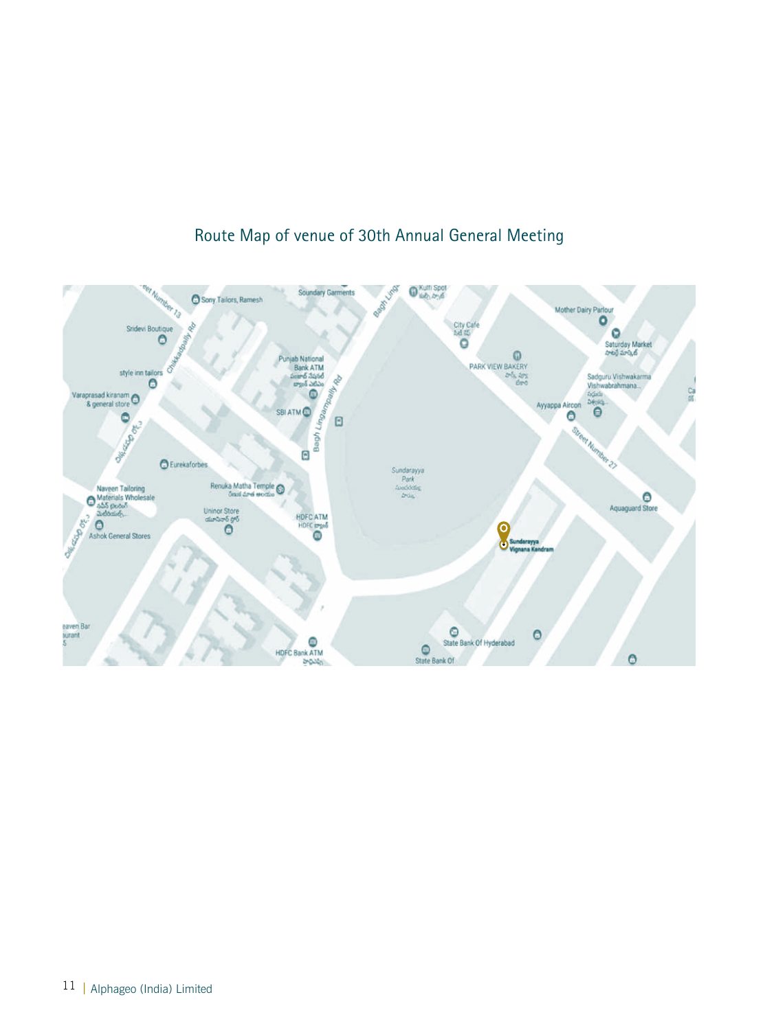

## Route Map of venue of 30th Annual General Meeting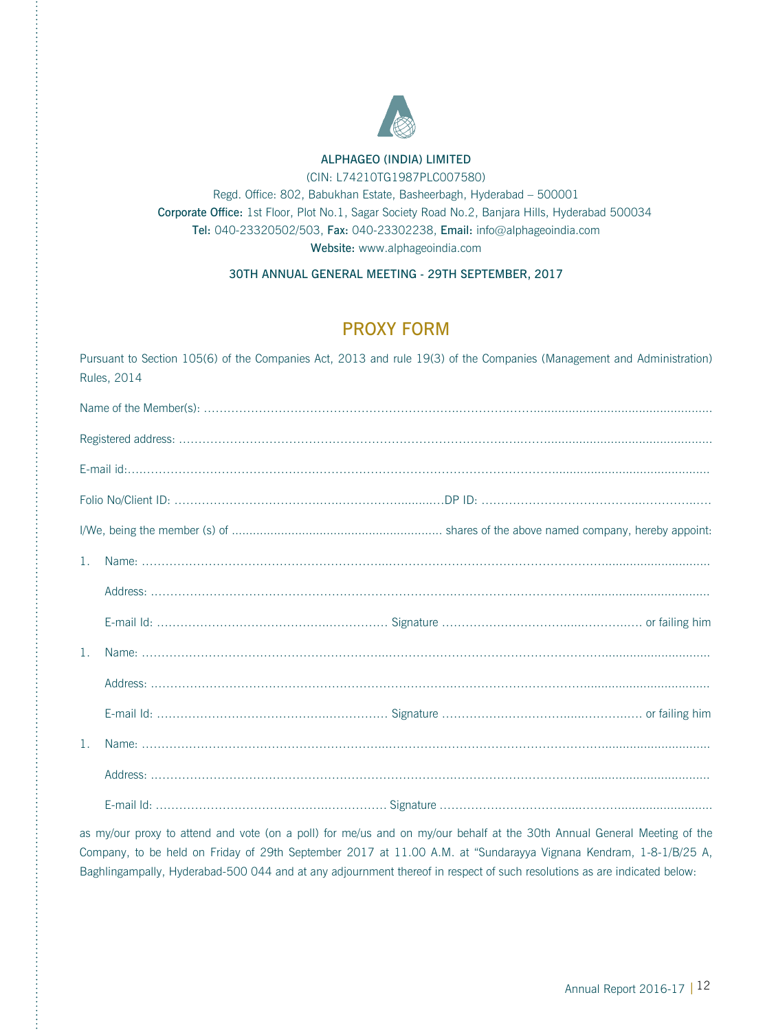

## ALPHAGEO (INDIA) LIMITED

(CIN: L74210TG1987PLC007580)

Regd. Office: 802, Babukhan Estate, Basheerbagh, Hyderabad – 500001 Corporate Office: 1st Floor, Plot No.1, Sagar Society Road No.2, Banjara Hills, Hyderabad 500034 Tel: 040-23320502/503, Fax: 040-23302238, Email: info@alphageoindia.com Website: www.alphageoindia.com

30TH ANNUAL GENERAL MEETING - 29TH SEPTEMBER, 2017

## PROXY FORM

Pursuant to Section 105(6) of the Companies Act, 2013 and rule 19(3) of the Companies (Management and Administration) Rules, 2014

| $\mathbf{1}$   |  |
|----------------|--|
|                |  |
|                |  |
| $\mathbf{1}$ . |  |
|                |  |
|                |  |
| $\mathbf{1}$ . |  |
|                |  |
|                |  |

as my/our proxy to attend and vote (on a poll) for me/us and on my/our behalf at the 30th Annual General Meeting of the Company, to be held on Friday of 29th September 2017 at 11.00 A.M. at "Sundarayya Vignana Kendram, 1-8-1/B/25 A, Baghlingampally, Hyderabad-500 044 and at any adjournment thereof in respect of such resolutions as are indicated below: